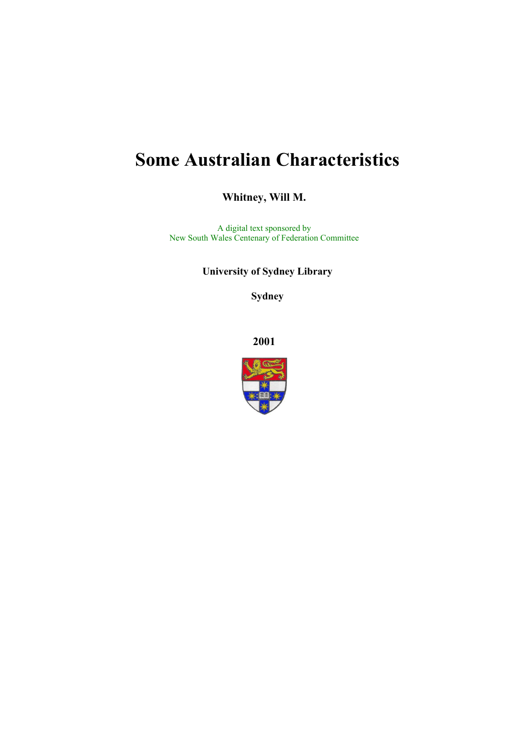# **Some Australian Characteristics**

**Whitney, Will M.** 

A digital text sponsored by New South Wales Centenary of Federation Committee

**University of Sydney Library** 

**Sydney** 

**2001**

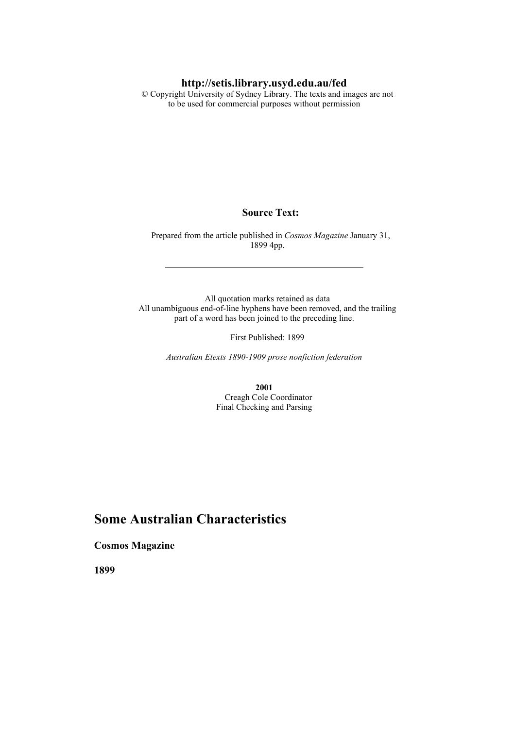#### **http://setis.library.usyd.edu.au/fed**

 © Copyright University of Sydney Library. The texts and images are not to be used for commercial purposes without permission

#### **Source Text:**

 Prepared from the article published in *Cosmos Magazine* January 31, 1899 4pp.

 All quotation marks retained as data All unambiguous end-of-line hyphens have been removed, and the trailing part of a word has been joined to the preceding line.

First Published: 1899

*Australian Etexts 1890-1909 prose nonfiction federation*

**2001** Creagh Cole Coordinator Final Checking and Parsing

### **Some Australian Characteristics**

**Cosmos Magazine** 

**1899**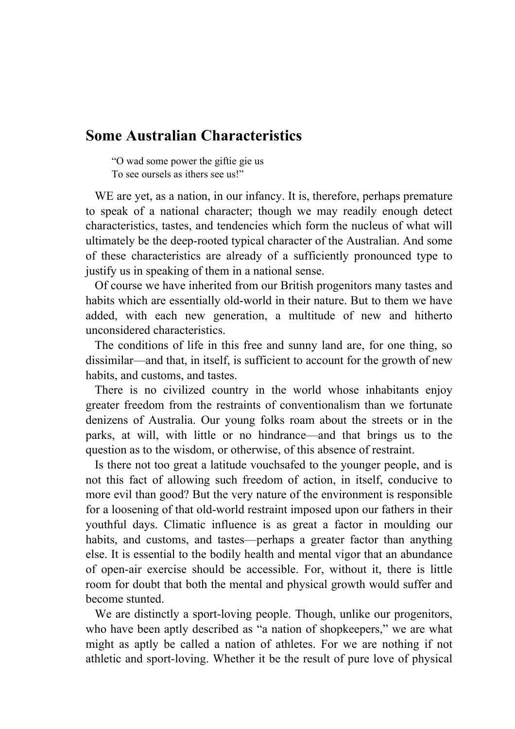## **Some Australian Characteristics**

"O wad some power the giftie gie us To see oursels as ithers see us!"

WE are yet, as a nation, in our infancy. It is, therefore, perhaps premature to speak of a national character; though we may readily enough detect characteristics, tastes, and tendencies which form the nucleus of what will ultimately be the deep-rooted typical character of the Australian. And some of these characteristics are already of a sufficiently pronounced type to justify us in speaking of them in a national sense.

 Of course we have inherited from our British progenitors many tastes and habits which are essentially old-world in their nature. But to them we have added, with each new generation, a multitude of new and hitherto unconsidered characteristics.

 The conditions of life in this free and sunny land are, for one thing, so dissimilar—and that, in itself, is sufficient to account for the growth of new habits, and customs, and tastes.

 There is no civilized country in the world whose inhabitants enjoy greater freedom from the restraints of conventionalism than we fortunate denizens of Australia. Our young folks roam about the streets or in the parks, at will, with little or no hindrance—and that brings us to the question as to the wisdom, or otherwise, of this absence of restraint.

 Is there not too great a latitude vouchsafed to the younger people, and is not this fact of allowing such freedom of action, in itself, conducive to more evil than good? But the very nature of the environment is responsible for a loosening of that old-world restraint imposed upon our fathers in their youthful days. Climatic influence is as great a factor in moulding our habits, and customs, and tastes—perhaps a greater factor than anything else. It is essential to the bodily health and mental vigor that an abundance of open-air exercise should be accessible. For, without it, there is little room for doubt that both the mental and physical growth would suffer and become stunted.

 We are distinctly a sport-loving people. Though, unlike our progenitors, who have been aptly described as "a nation of shopkeepers," we are what might as aptly be called a nation of athletes. For we are nothing if not athletic and sport-loving. Whether it be the result of pure love of physical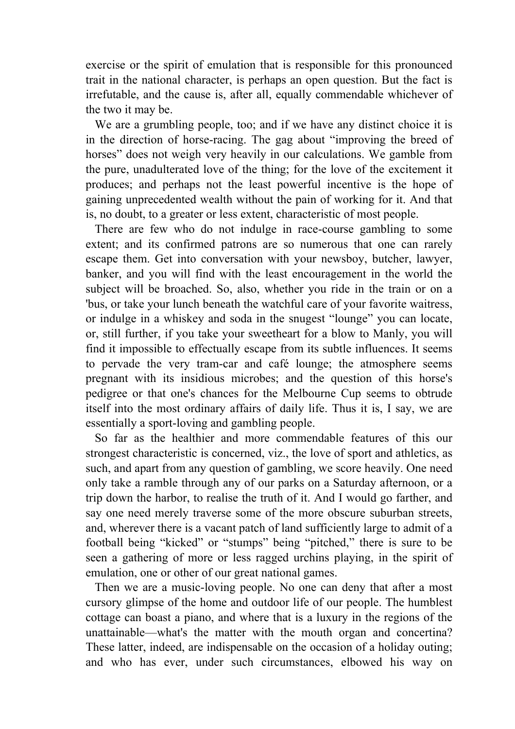exercise or the spirit of emulation that is responsible for this pronounced trait in the national character, is perhaps an open question. But the fact is irrefutable, and the cause is, after all, equally commendable whichever of the two it may be.

 We are a grumbling people, too; and if we have any distinct choice it is in the direction of horse-racing. The gag about "improving the breed of horses" does not weigh very heavily in our calculations. We gamble from the pure, unadulterated love of the thing; for the love of the excitement it produces; and perhaps not the least powerful incentive is the hope of gaining unprecedented wealth without the pain of working for it. And that is, no doubt, to a greater or less extent, characteristic of most people.

 There are few who do not indulge in race-course gambling to some extent; and its confirmed patrons are so numerous that one can rarely escape them. Get into conversation with your newsboy, butcher, lawyer, banker, and you will find with the least encouragement in the world the subject will be broached. So, also, whether you ride in the train or on a 'bus, or take your lunch beneath the watchful care of your favorite waitress, or indulge in a whiskey and soda in the snugest "lounge" you can locate, or, still further, if you take your sweetheart for a blow to Manly, you will find it impossible to effectually escape from its subtle influences. It seems to pervade the very tram-car and café lounge; the atmosphere seems pregnant with its insidious microbes; and the question of this horse's pedigree or that one's chances for the Melbourne Cup seems to obtrude itself into the most ordinary affairs of daily life. Thus it is, I say, we are essentially a sport-loving and gambling people.

 So far as the healthier and more commendable features of this our strongest characteristic is concerned, viz., the love of sport and athletics, as such, and apart from any question of gambling, we score heavily. One need only take a ramble through any of our parks on a Saturday afternoon, or a trip down the harbor, to realise the truth of it. And I would go farther, and say one need merely traverse some of the more obscure suburban streets, and, wherever there is a vacant patch of land sufficiently large to admit of a football being "kicked" or "stumps" being "pitched," there is sure to be seen a gathering of more or less ragged urchins playing, in the spirit of emulation, one or other of our great national games.

 Then we are a music-loving people. No one can deny that after a most cursory glimpse of the home and outdoor life of our people. The humblest cottage can boast a piano, and where that is a luxury in the regions of the unattainable—what's the matter with the mouth organ and concertina? These latter, indeed, are indispensable on the occasion of a holiday outing; and who has ever, under such circumstances, elbowed his way on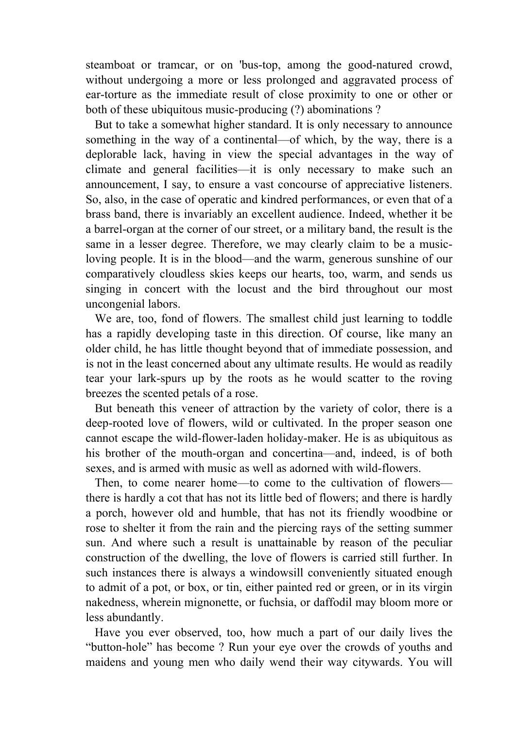steamboat or tramcar, or on 'bus-top, among the good-natured crowd, without undergoing a more or less prolonged and aggravated process of ear-torture as the immediate result of close proximity to one or other or both of these ubiquitous music-producing (?) abominations ?

 But to take a somewhat higher standard. It is only necessary to announce something in the way of a continental—of which, by the way, there is a deplorable lack, having in view the special advantages in the way of climate and general facilities—it is only necessary to make such an announcement, I say, to ensure a vast concourse of appreciative listeners. So, also, in the case of operatic and kindred performances, or even that of a brass band, there is invariably an excellent audience. Indeed, whether it be a barrel-organ at the corner of our street, or a military band, the result is the same in a lesser degree. Therefore, we may clearly claim to be a musicloving people. It is in the blood—and the warm, generous sunshine of our comparatively cloudless skies keeps our hearts, too, warm, and sends us singing in concert with the locust and the bird throughout our most uncongenial labors.

 We are, too, fond of flowers. The smallest child just learning to toddle has a rapidly developing taste in this direction. Of course, like many an older child, he has little thought beyond that of immediate possession, and is not in the least concerned about any ultimate results. He would as readily tear your lark-spurs up by the roots as he would scatter to the roving breezes the scented petals of a rose.

 But beneath this veneer of attraction by the variety of color, there is a deep-rooted love of flowers, wild or cultivated. In the proper season one cannot escape the wild-flower-laden holiday-maker. He is as ubiquitous as his brother of the mouth-organ and concertina—and, indeed, is of both sexes, and is armed with music as well as adorned with wild-flowers.

 Then, to come nearer home—to come to the cultivation of flowers there is hardly a cot that has not its little bed of flowers; and there is hardly a porch, however old and humble, that has not its friendly woodbine or rose to shelter it from the rain and the piercing rays of the setting summer sun. And where such a result is unattainable by reason of the peculiar construction of the dwelling, the love of flowers is carried still further. In such instances there is always a windowsill conveniently situated enough to admit of a pot, or box, or tin, either painted red or green, or in its virgin nakedness, wherein mignonette, or fuchsia, or daffodil may bloom more or less abundantly.

 Have you ever observed, too, how much a part of our daily lives the "button-hole" has become ? Run your eye over the crowds of youths and maidens and young men who daily wend their way citywards. You will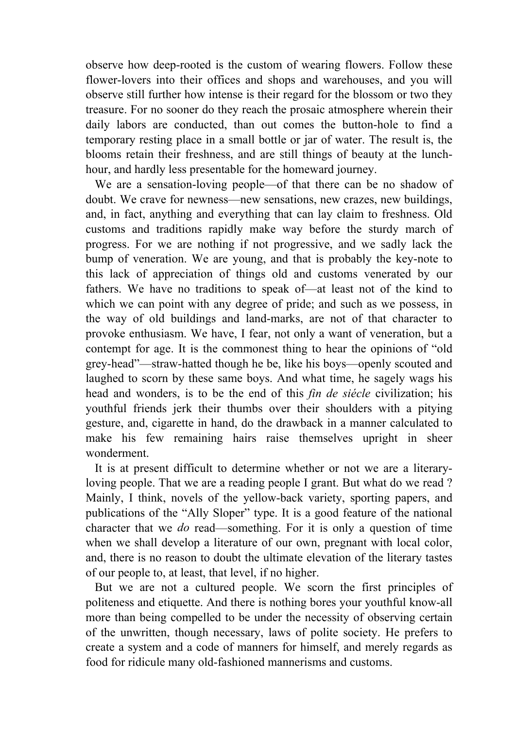observe how deep-rooted is the custom of wearing flowers. Follow these flower-lovers into their offices and shops and warehouses, and you will observe still further how intense is their regard for the blossom or two they treasure. For no sooner do they reach the prosaic atmosphere wherein their daily labors are conducted, than out comes the button-hole to find a temporary resting place in a small bottle or jar of water. The result is, the blooms retain their freshness, and are still things of beauty at the lunchhour, and hardly less presentable for the homeward journey.

 We are a sensation-loving people—of that there can be no shadow of doubt. We crave for newness—new sensations, new crazes, new buildings, and, in fact, anything and everything that can lay claim to freshness. Old customs and traditions rapidly make way before the sturdy march of progress. For we are nothing if not progressive, and we sadly lack the bump of veneration. We are young, and that is probably the key-note to this lack of appreciation of things old and customs venerated by our fathers. We have no traditions to speak of—at least not of the kind to which we can point with any degree of pride; and such as we possess, in the way of old buildings and land-marks, are not of that character to provoke enthusiasm. We have, I fear, not only a want of veneration, but a contempt for age. It is the commonest thing to hear the opinions of "old grey-head"—straw-hatted though he be, like his boys—openly scouted and laughed to scorn by these same boys. And what time, he sagely wags his head and wonders, is to be the end of this *fin de siécle* civilization; his youthful friends jerk their thumbs over their shoulders with a pitying gesture, and, cigarette in hand, do the drawback in a manner calculated to make his few remaining hairs raise themselves upright in sheer wonderment.

 It is at present difficult to determine whether or not we are a literaryloving people. That we are a reading people I grant. But what do we read ? Mainly, I think, novels of the yellow-back variety, sporting papers, and publications of the "Ally Sloper" type. It is a good feature of the national character that we *do* read—something. For it is only a question of time when we shall develop a literature of our own, pregnant with local color, and, there is no reason to doubt the ultimate elevation of the literary tastes of our people to, at least, that level, if no higher.

 But we are not a cultured people. We scorn the first principles of politeness and etiquette. And there is nothing bores your youthful know-all more than being compelled to be under the necessity of observing certain of the unwritten, though necessary, laws of polite society. He prefers to create a system and a code of manners for himself, and merely regards as food for ridicule many old-fashioned mannerisms and customs.